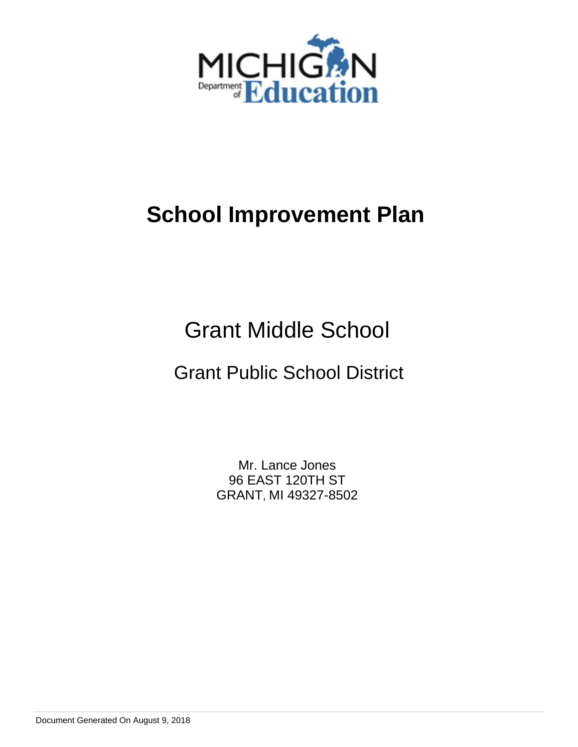

# Grant Middle School

# Grant Public School District

Mr. Lance Jones 96 EAST 120TH ST GRANT, MI 49327-8502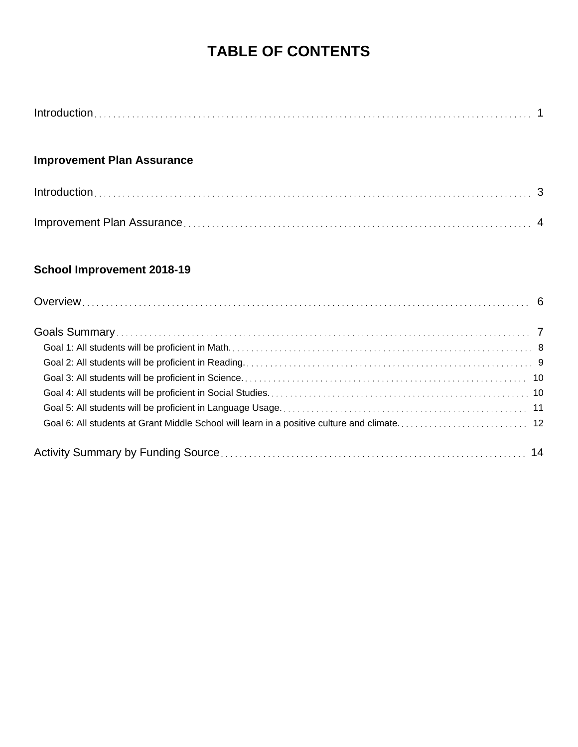# **TABLE OF CONTENTS**

### **Improvement Plan Assurance**

### **School Improvement 2018-19**

| Goal 6: All students at Grant Middle School will learn in a positive culture and climate 12 |  |
|---------------------------------------------------------------------------------------------|--|
|                                                                                             |  |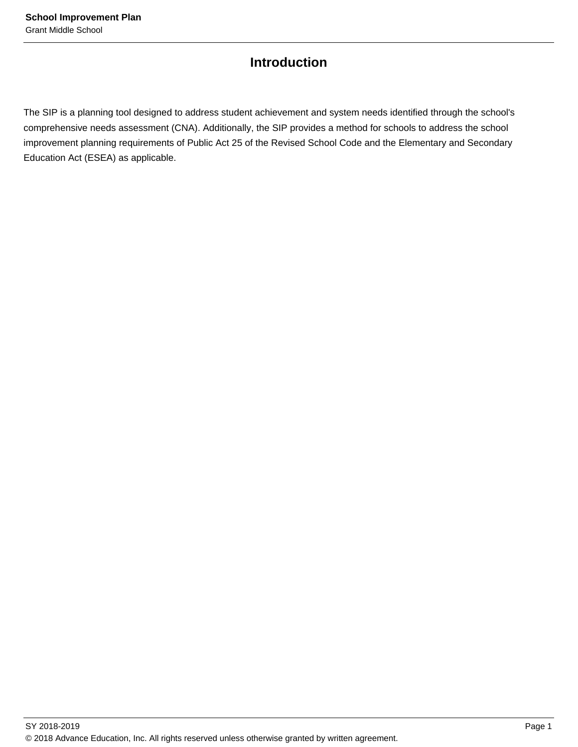### **Introduction**

The SIP is a planning tool designed to address student achievement and system needs identified through the school's comprehensive needs assessment (CNA). Additionally, the SIP provides a method for schools to address the school improvement planning requirements of Public Act 25 of the Revised School Code and the Elementary and Secondary Education Act (ESEA) as applicable.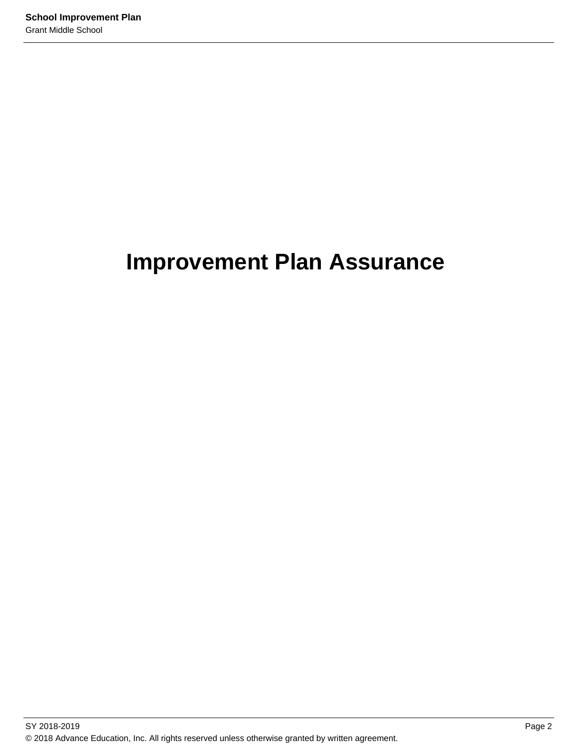# **Improvement Plan Assurance**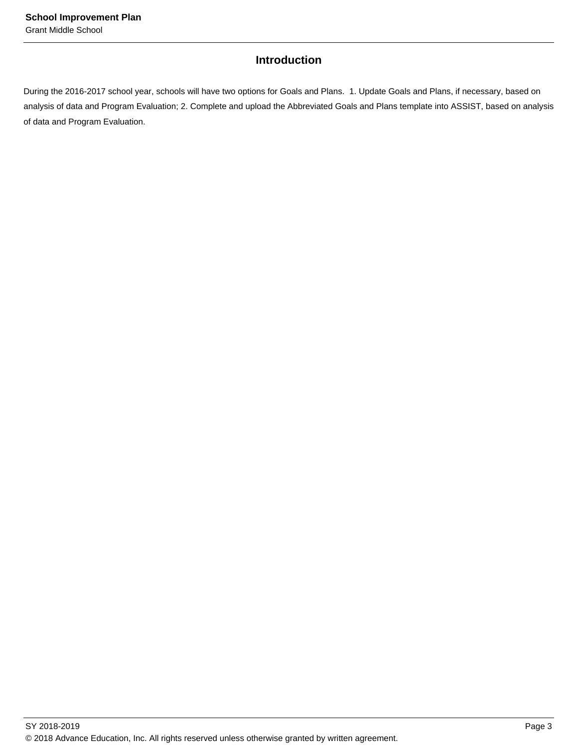### **Introduction**

During the 2016-2017 school year, schools will have two options for Goals and Plans. 1. Update Goals and Plans, if necessary, based on analysis of data and Program Evaluation; 2. Complete and upload the Abbreviated Goals and Plans template into ASSIST, based on analysis of data and Program Evaluation.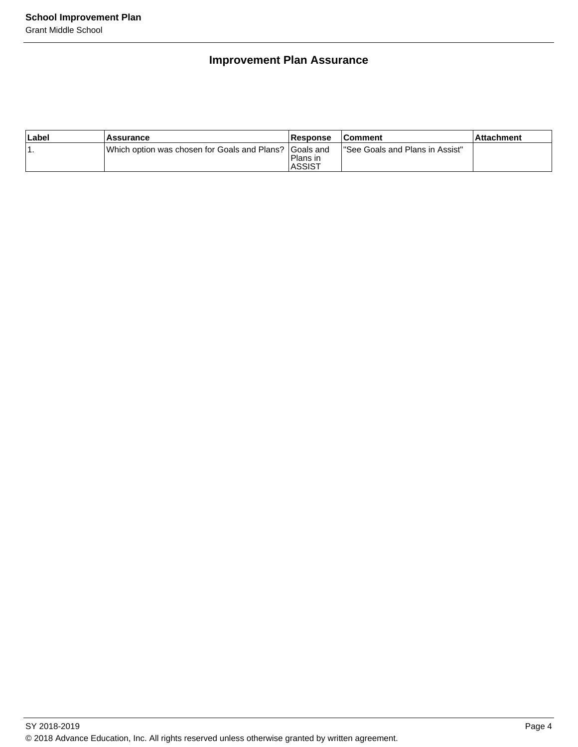### **Improvement Plan Assurance**

| ∣Label | Assurance                                                | Response                  | <b>Comment</b>                   | ∣Attachment |
|--------|----------------------------------------------------------|---------------------------|----------------------------------|-------------|
|        | IWhich option was chosen for Goals and Plans? IGoals and | Plans in<br><b>ASSIST</b> | l"See Goals and Plans in Assist" |             |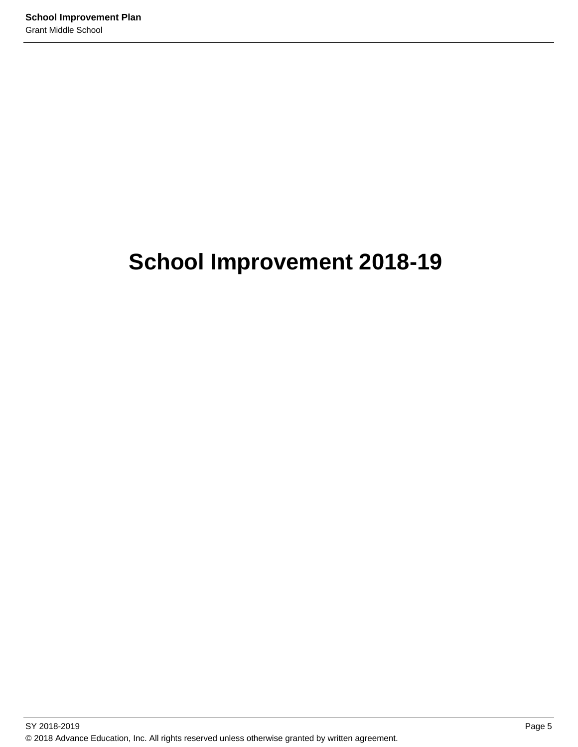# **School Improvement 2018-19**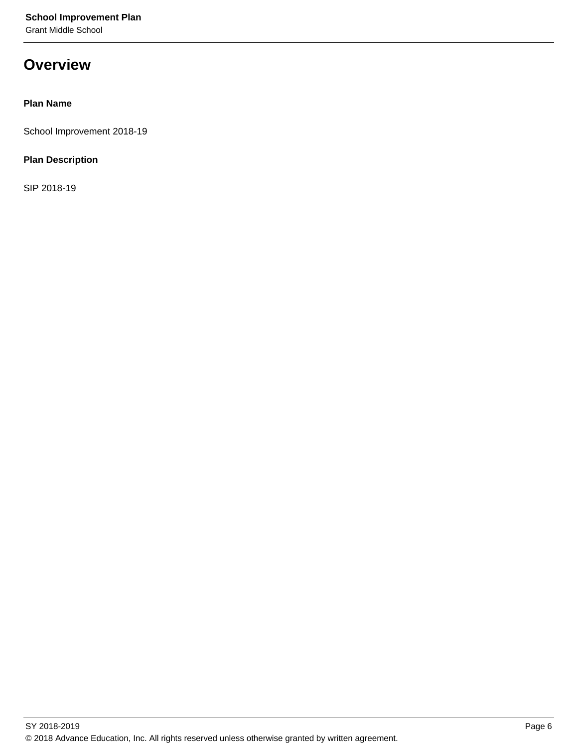Grant Middle School

## **Overview**

### **Plan Name**

School Improvement 2018-19

### **Plan Description**

SIP 2018-19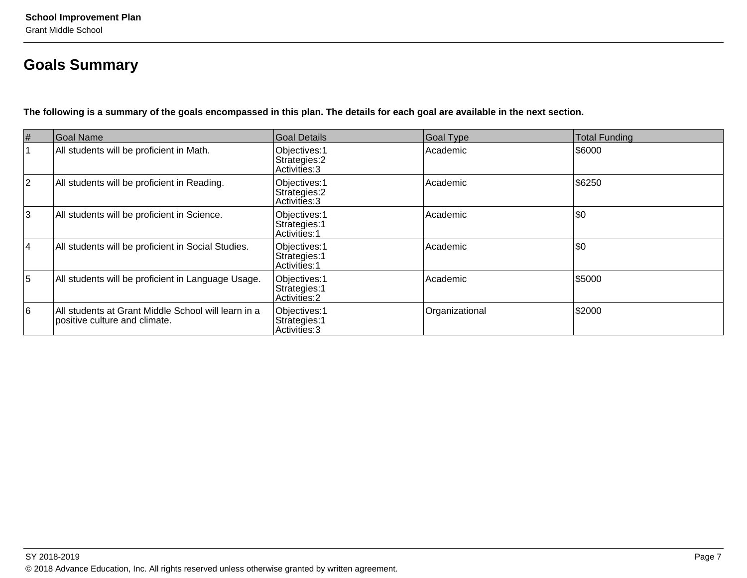## **Goals Summary**

**The following is a summary of the goals encompassed in this plan. The details for each goal are available in the next section.**

| $\#$            | Goal Name                                                                            | Goal Details                                           | Goal Type      | <b>Total Funding</b> |
|-----------------|--------------------------------------------------------------------------------------|--------------------------------------------------------|----------------|----------------------|
|                 | All students will be proficient in Math.                                             | Objectives: 1<br>Strategies: 2<br>Activities: 3        | Academic       | \$6000               |
| $ 2\rangle$     | All students will be proficient in Reading.                                          | Objectives: 1<br>Strategies: 2<br>Activities: 3        | Academic       | \$6250               |
| 3               | All students will be proficient in Science.                                          | Objectives: 1<br>Strategies: 1<br><b>Activities: 1</b> | Academic       | \$0                  |
| 4               | All students will be proficient in Social Studies.                                   | Objectives: 1<br>Strategies: 1<br>Activities: 1        | Academic       | \$0                  |
| $\overline{5}$  | All students will be proficient in Language Usage.                                   | Objectives: 1<br>Strategies: 1<br>Activities: 2        | Academic       | \$5000               |
| $6\overline{6}$ | All students at Grant Middle School will learn in a<br>positive culture and climate. | Objectives: 1<br>Strategies: 1<br>Activities: 3        | Organizational | \$2000               |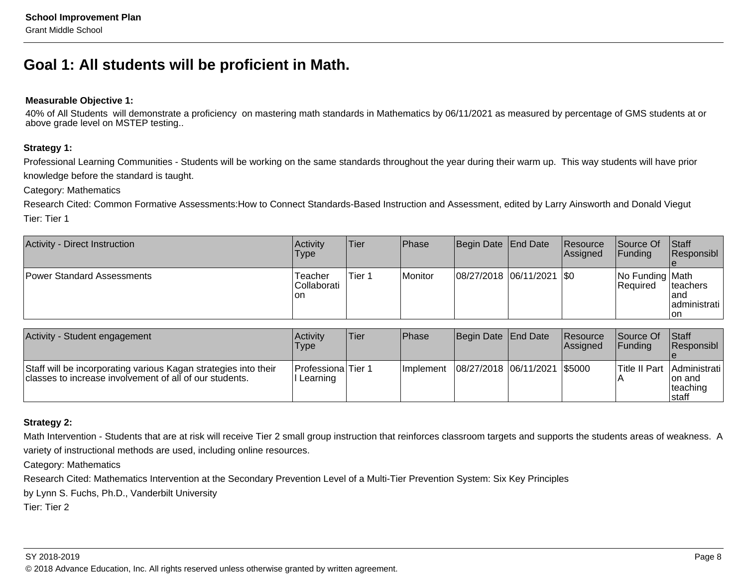## **Goal 1: All students will be proficient in Math.**

#### **Measurable Objective 1:**

40% of All Students will demonstrate a proficiency on mastering math standards in Mathematics by 06/11/2021 as measured by percentage of GMS students at orabove grade level on MSTEP testing..

### **Strategy 1:**

Professional Learning Communities - Students will be working on the same standards throughout the year during their warm up. This way students will have priorknowledge before the standard is taught.

Category: Mathematics

 Research Cited: Common Formative Assessments:How to Connect Standards-Based Instruction and Assessment, edited by Larry Ainsworth and Donald ViegutTier: Tier 1

| Activity - Direct Instruction     | Activity<br>Type                     | <b>Tier</b> | <b>Phase</b> | Begin Date End Date           | Resource<br>Assigned | Source Of<br> Funding               | <b>Staff</b><br>Responsibl                  |
|-----------------------------------|--------------------------------------|-------------|--------------|-------------------------------|----------------------|-------------------------------------|---------------------------------------------|
| <b>Power Standard Assessments</b> | Teacher<br><b>Collaborati</b><br> on | Tier 1      | Monitor      | $ 08/27/2018 06/11/2021 $ \$0 |                      | No Funding Math<br><b>IRequired</b> | Iteachers<br>land<br> administrati  <br>lon |

| Activity - Student engagement                                                                                              | Activity<br>Type               | Tier | Phase      | Begin Date End Date            | <b>Resource</b><br><b>Assianed</b> | <b>Source Of</b><br><b>IFundina</b> | <b>Staff</b><br><b>Responsibl</b>                            |
|----------------------------------------------------------------------------------------------------------------------------|--------------------------------|------|------------|--------------------------------|------------------------------------|-------------------------------------|--------------------------------------------------------------|
| Staff will be incorporating various Kagan strategies into their<br>classes to increase involvement of all of our students. | Professiona Tier 1<br>Learning |      | Ilmplement | 08/27/2018  06/11/2021  \$5000 |                                    |                                     | Title II Part Administrati<br>Ion and<br> teaching<br>Istaff |

### **Strategy 2:**

Math Intervention - Students that are at risk will receive Tier 2 small group instruction that reinforces classroom targets and supports the students areas of weakness. A variety of instructional methods are used, including online resources.

Category: Mathematics

Research Cited: Mathematics Intervention at the Secondary Prevention Level of a Multi-Tier Prevention System: Six Key Principles

by Lynn S. Fuchs, Ph.D., Vanderbilt University

Tier: Tier 2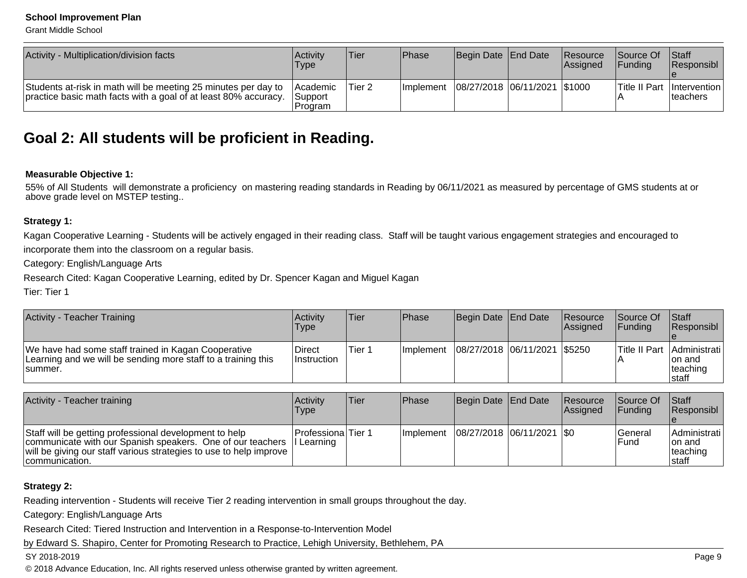Grant Middle School

| Activity - Multiplication/division facts                                                                                          | Activity<br><b>Type</b>                             | Tier    | Phase            | Begin Date   End Date          | <b>Resource</b><br>Assigned | <b>Source Of</b><br><b>IFundina</b> | <b>Staff</b><br>Responsibl                  |
|-----------------------------------------------------------------------------------------------------------------------------------|-----------------------------------------------------|---------|------------------|--------------------------------|-----------------------------|-------------------------------------|---------------------------------------------|
| Students at-risk in math will be meeting 25 minutes per day to<br>practice basic math facts with a goal of at least 80% accuracy. | <b>Academic</b><br><i><b>Support</b></i><br>Program | 'Tier 2 | <b>Implement</b> | 08/27/2018  06/11/2021  \$1000 |                             |                                     | Title II Part   Intervention  <br>Iteachers |

### **Goal 2: All students will be proficient in Reading.**

#### **Measurable Objective 1:**

 55% of All Students will demonstrate a proficiency on mastering reading standards in Reading by 06/11/2021 as measured by percentage of GMS students at orabove grade level on MSTEP testing..

#### **Strategy 1:**

Kagan Cooperative Learning - Students will be actively engaged in their reading class. Staff will be taught various engagement strategies and encouraged toincorporate them into the classroom on a regular basis.

Category: English/Language Arts

Research Cited: Kagan Cooperative Learning, edited by Dr. Spencer Kagan and Miguel Kagan

Tier: Tier 1

| <b>Activity - Teacher Training</b>                                                                                               | Activity<br><b>Type</b> | Tier   | Phase            | Begin Date End Date            | Resource<br>Assigned | <b>Source Of</b><br><b>IFundina</b> | <b>Staff</b><br>Responsibl                                   |
|----------------------------------------------------------------------------------------------------------------------------------|-------------------------|--------|------------------|--------------------------------|----------------------|-------------------------------------|--------------------------------------------------------------|
| We have had some staff trained in Kagan Cooperative<br>Learning and we will be sending more staff to a training this<br>Isummer. | Direct<br>∣Instruction  | Tier 1 | <b>Implement</b> | 08/27/2018 06/11/2021   \$5250 |                      |                                     | Title II Part Administrati<br>Ion and<br>Iteaching<br>Istaff |

| Activity - Teacher training                                                                                                                                                                                             | <b>Activity</b><br>Type   | lTier. | l Phase | Begin Date End Date                       | Resource<br><b>Assianed</b> | <b>Source Of</b><br><b>IFunding</b> | <b>Staff</b><br>Responsibl                    |
|-------------------------------------------------------------------------------------------------------------------------------------------------------------------------------------------------------------------------|---------------------------|--------|---------|-------------------------------------------|-----------------------------|-------------------------------------|-----------------------------------------------|
| Staff will be getting professional development to help<br>communicate with our Spanish speakers. One of our teachers   Learning<br>will be giving our staff various strategies to use to help improve<br>communication. | <b>Professiona</b> Tier 1 |        |         | Implement   08/27/2018   06/11/2021   \$0 |                             | lGeneral<br>lFund                   | Administrati<br>Ion and<br>teaching<br>Istaff |

#### **Strategy 2:**

Reading intervention - Students will receive Tier 2 reading intervention in small groups throughout the day.

Category: English/Language Arts

Research Cited: Tiered Instruction and Intervention in a Response-to-Intervention Model

by Edward S. Shapiro, Center for Promoting Research to Practice, Lehigh University, Bethlehem, PA

#### SY 2018-2019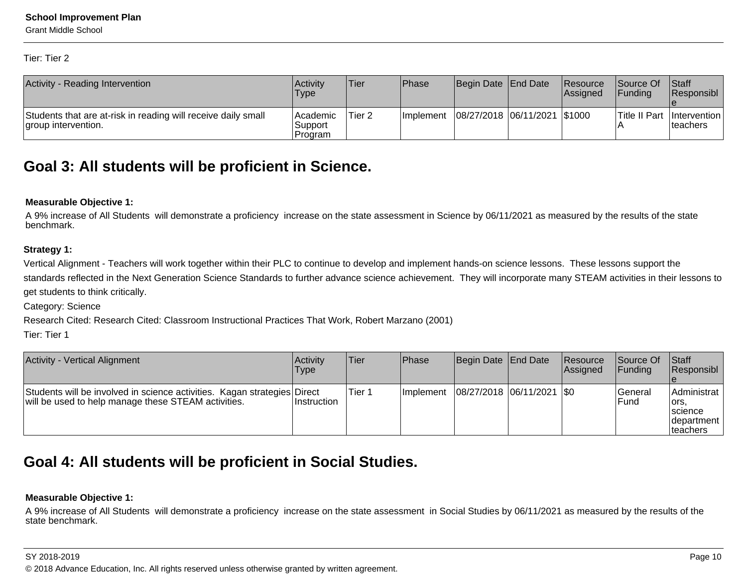Grant Middle School

Tier: Tier 2

| Activity - Reading Intervention                                                      | <b>Activity</b><br><b>Type</b>  | Tier              | Phase      | Begin Date End Date            | Resource<br>Assigned | Source Of<br><b>IFundina</b> | $\vert$ Staff<br><b>Responsibl</b> |
|--------------------------------------------------------------------------------------|---------------------------------|-------------------|------------|--------------------------------|----------------------|------------------------------|------------------------------------|
| Students that are at-risk in reading will receive daily small<br>group intervention. | lAcademic<br>Support<br>Program | Tier <sub>2</sub> | Ilmplement | 08/27/2018  06/11/2021  \$1000 |                      | Title II Part   Intervention | Iteachers                          |

### **Goal 3: All students will be proficient in Science.**

#### **Measurable Objective 1:**

 A 9% increase of All Students will demonstrate a proficiency increase on the state assessment in Science by 06/11/2021 as measured by the results of the statebenchmark.

### **Strategy 1:**

Vertical Alignment - Teachers will work together within their PLC to continue to develop and implement hands-on science lessons. These lessons support the standards reflected in the Next Generation Science Standards to further advance science achievement. They will incorporate many STEAM activities in their lessons toget students to think critically.

Category: Science

Research Cited: Research Cited: Classroom Instructional Practices That Work, Robert Marzano (2001)

Tier: Tier 1

| Activity - Vertical Alignment                                                                                                   | <b>Activity</b><br>Type | Tier    | Phase      | Begin Date   End Date         | <b>Resource</b><br>Assigned | <b>Source Of</b><br>IFundina | <b>Staff</b><br>Responsibl                                          |
|---------------------------------------------------------------------------------------------------------------------------------|-------------------------|---------|------------|-------------------------------|-----------------------------|------------------------------|---------------------------------------------------------------------|
| Students will be involved in science activities. Kagan strategies Direct<br>will be used to help manage these STEAM activities. | <b>Instruction</b>      | lTier 1 | Ilmplement | $ 08/27/2018 06/11/2021 $ \$0 |                             | lGeneral<br>lFund            | Administrat<br>lors.<br><b>Iscience</b><br> department<br>Iteachers |

## **Goal 4: All students will be proficient in Social Studies.**

### **Measurable Objective 1:**

A 9% increase of All Students will demonstrate a proficiency increase on the state assessment in Social Studies by 06/11/2021 as measured by the results of thestate benchmark.

#### SY 2018-2019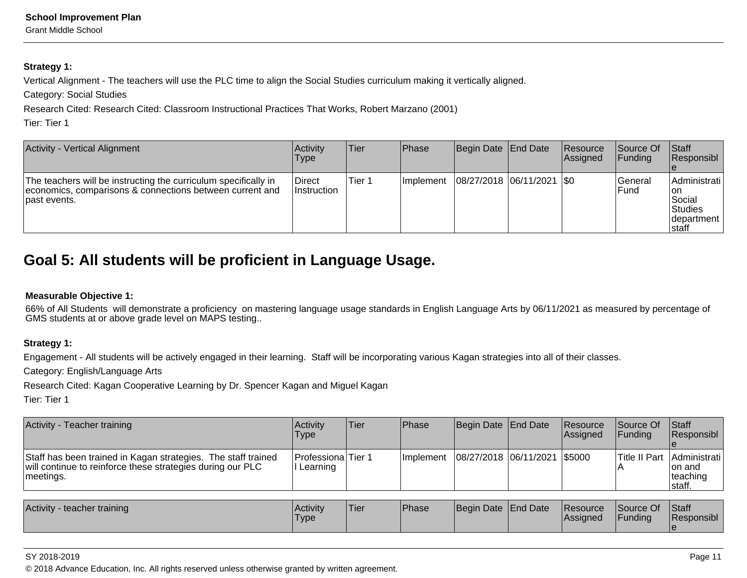Grant Middle School

### **Strategy 1:**

Vertical Alignment - The teachers will use the PLC time to align the Social Studies curriculum making it vertically aligned.

Category: Social Studies

Research Cited: Research Cited: Classroom Instructional Practices That Works, Robert Marzano (2001)

Tier: Tier 1

| Activity - Vertical Alignment                                                                                                                | <b>Activity</b><br>Type      | <b>Tier</b> | <b>IPhase</b>     | Begin Date End Date           | <b>Resource</b><br><b>Assigned</b> | <b>Source Of</b><br> Funding | <b>Staff</b><br>Responsibl                                                 |
|----------------------------------------------------------------------------------------------------------------------------------------------|------------------------------|-------------|-------------------|-------------------------------|------------------------------------|------------------------------|----------------------------------------------------------------------------|
| The teachers will be instructing the curriculum specifically in<br>economics, comparisons & connections between current and<br>Ipast events. | Direct<br><b>Instruction</b> | Tier 1      | <b>Ilmplement</b> | $ 08/27/2018 06/11/2021 $ \$0 |                                    | lGeneral<br>IFund            | Administrati<br>l on<br>lSocial<br><b>Studies</b><br>Idepartment<br>Istaff |

## **Goal 5: All students will be proficient in Language Usage.**

### **Measurable Objective 1:**

 66% of All Students will demonstrate a proficiency on mastering language usage standards in English Language Arts by 06/11/2021 as measured by percentage ofGMS students at or above grade level on MAPS testing..

### **Strategy 1:**

Engagement - All students will be actively engaged in their learning. Staff will be incorporating various Kagan strategies into all of their classes.

Category: English/Language Arts

Research Cited: Kagan Cooperative Learning by Dr. Spencer Kagan and Miguel Kagan

Tier: Tier 1

| Activity - Teacher training                                                                                                               | <b>Activity</b><br>Type                | Tier | <b>IPhase</b> | Begin Date End Date            | Resource<br><b>Assigned</b> | <b>Source Of</b><br><b>IFundina</b> | <b>Staff</b><br>Responsibl                                  |
|-------------------------------------------------------------------------------------------------------------------------------------------|----------------------------------------|------|---------------|--------------------------------|-----------------------------|-------------------------------------|-------------------------------------------------------------|
| Staff has been trained in Kagan strategies. The staff trained<br>will continue to reinforce these strategies during our PLC<br> meetings. | <b>IProfessionalTier 1</b><br>Learning |      | Ilmplement    | 08/27/2018  06/11/2021  \$5000 |                             |                                     | Title II Part Administrati<br>Ton and<br>teaching<br>staff. |

| <b>Activity</b><br>/ - teacher training | Activity<br>'Type | <b>Tier</b> | <b>Phase</b> | Begin Date End Date | <b>Resource</b><br><b>IAssigned</b> | Source Of<br>Funding | Staff<br>Responsibl |
|-----------------------------------------|-------------------|-------------|--------------|---------------------|-------------------------------------|----------------------|---------------------|
|                                         |                   |             |              |                     |                                     |                      |                     |

#### SY 2018-2019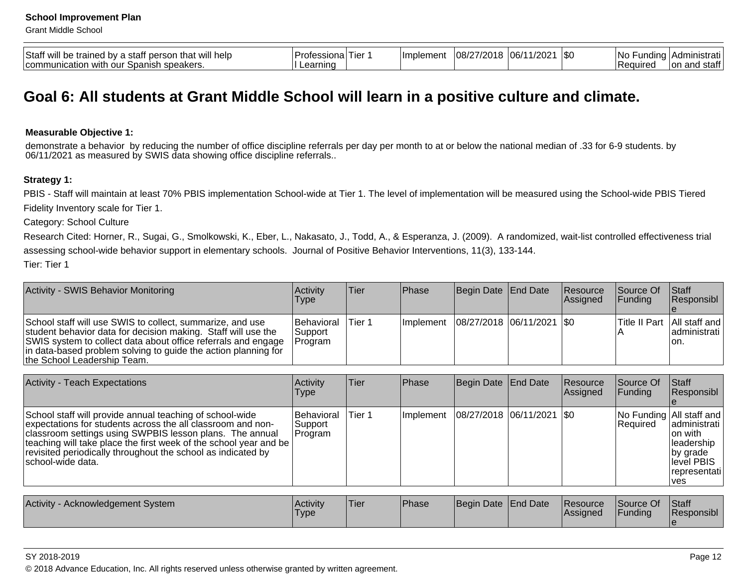Grant Middle School

| Staff<br>help<br>WI<br>$\sim$<br>≧traine∈.<br>WI<br>. DV<br>зтап<br>- 1114<br>יי י<br>. היה<br>$\overline{\mathbf{u}}$<br><b>SNASKARS</b><br>our<br>' comn<br>ักลก⊾<br>witr<br>JAI.<br>טוסאסטרי ירי | Protes:<br>. Her<br>≅ona<br>earning | <b>Ilmplemen</b> | י ו∩רי "<br>O8/2 | .יחרי<br>106/ | \$0 | 1Nc<br>dinc<br>uı<br><b>IRequire</b> | пэнаг<br>$6+6$<br>l on<br><u>_</u><br>ડાતા |
|-----------------------------------------------------------------------------------------------------------------------------------------------------------------------------------------------------|-------------------------------------|------------------|------------------|---------------|-----|--------------------------------------|--------------------------------------------|
|-----------------------------------------------------------------------------------------------------------------------------------------------------------------------------------------------------|-------------------------------------|------------------|------------------|---------------|-----|--------------------------------------|--------------------------------------------|

### **Goal 6: All students at Grant Middle School will learn in a positive culture and climate.**

#### **Measurable Objective 1:**

demonstrate a behavior by reducing the number of office discipline referrals per day per month to at or below the national median of .33 for 6-9 students. by<br>06/11/2021 as measured by SWIS data showing office discipline re

#### **Strategy 1:**

PBIS - Staff will maintain at least 70% PBIS implementation School-wide at Tier 1. The level of implementation will be measured using the School-wide PBIS TieredFidelity Inventory scale for Tier 1.

Category: School Culture

Research Cited: Horner, R., Sugai, G., Smolkowski, K., Eber, L., Nakasato, J., Todd, A., & Esperanza, J. (2009). A randomized, wait-list controlled effectiveness trial assessing school-wide behavior support in elementary schools. Journal of Positive Behavior Interventions, 11(3), 133-144.

Tier: Tier 1

| <b>Activity - SWIS Behavior Monitoring</b>                                                                                                                                                                                                                                                   | <b>Activity</b><br>Type                   | lTier  | <b>IPhase</b>     | Begin Date End Date         | Resource<br><b>Assigned</b> | <b>Source Of</b><br><b>IFunding</b> | <b>Staff</b><br>Responsibl                                 |
|----------------------------------------------------------------------------------------------------------------------------------------------------------------------------------------------------------------------------------------------------------------------------------------------|-------------------------------------------|--------|-------------------|-----------------------------|-----------------------------|-------------------------------------|------------------------------------------------------------|
| School staff will use SWIS to collect, summarize, and use<br>student behavior data for decision making. Staff will use the<br>SWIS system to collect data about office referrals and engage<br>in data-based problem solving to guide the action planning for<br>the School Leadership Team. | <b>Behavioral</b><br> Support<br> Program | Tier 1 | <b>Ilmplement</b> | 08/27/2018  06/11/2021  \$0 |                             |                                     | Title II Part   All staff and  <br>ladministrati l<br>Ton. |

| <b>Activity - Teach Expectations</b>                                                                                                                                                                                                                                                                                                           | Activity<br>Type                  | Tier   | Phase        | Begin Date End Date           | Resource<br>Assigned        | Source Of<br>Funding        | <b>Staff</b><br>Responsibl                                                                                              |
|------------------------------------------------------------------------------------------------------------------------------------------------------------------------------------------------------------------------------------------------------------------------------------------------------------------------------------------------|-----------------------------------|--------|--------------|-------------------------------|-----------------------------|-----------------------------|-------------------------------------------------------------------------------------------------------------------------|
| School staff will provide annual teaching of school-wide<br>expectations for students across the all classroom and non-<br>classroom settings using SWPBIS lesson plans. The annual<br>teaching will take place the first week of the school year and be<br>revisited periodically throughout the school as indicated by<br>Ischool-wide data. | Behavioral<br> Support<br>Program | Tier 1 | Implement    | $ 08/27/2018 06/11/2021 $ \$0 |                             | Required                    | No Funding All staff and<br>ladministrati<br>Ion with<br>leadership<br>by grade<br>level PBIS<br> representati<br>l ves |
|                                                                                                                                                                                                                                                                                                                                                |                                   |        |              |                               |                             |                             |                                                                                                                         |
| Activity - Acknowledgement System                                                                                                                                                                                                                                                                                                              | Activity<br><b>Type</b>           | Tier   | <b>Phase</b> | Begin Date End Date           | <b>Resource</b><br>Assigned | Source Of<br><b>Funding</b> | Staff<br>Responsibl                                                                                                     |

SY 2018-2019

© 2018 Advance Education, Inc. All rights reserved unless otherwise granted by written agreement.

e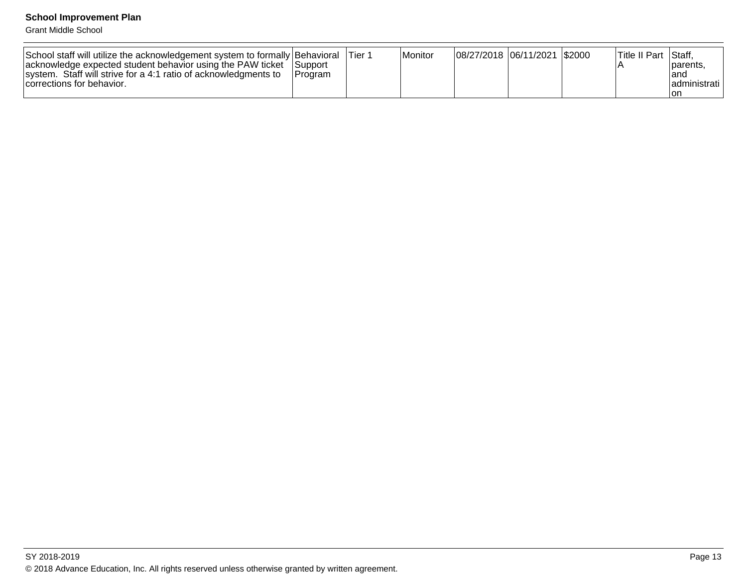Grant Middle School

| School staff will utilize the acknowledgement system to formally Behavioral<br>acknowledge expected student behavior using the PAW ticket<br>system. Staff will strive for a 4:1 ratio of acknowledgments to | <b>Support</b><br><b>IProgram</b> | Tier 1 | <b>Monitor</b> | 08/27/2018  06/11/2021   \$2000 |  | Title II Part | Staff,<br>Iparents.<br>land |
|--------------------------------------------------------------------------------------------------------------------------------------------------------------------------------------------------------------|-----------------------------------|--------|----------------|---------------------------------|--|---------------|-----------------------------|
| corrections for behavior.                                                                                                                                                                                    |                                   |        |                |                                 |  |               | ladministrati l             |
|                                                                                                                                                                                                              |                                   |        |                |                                 |  |               | ∣on                         |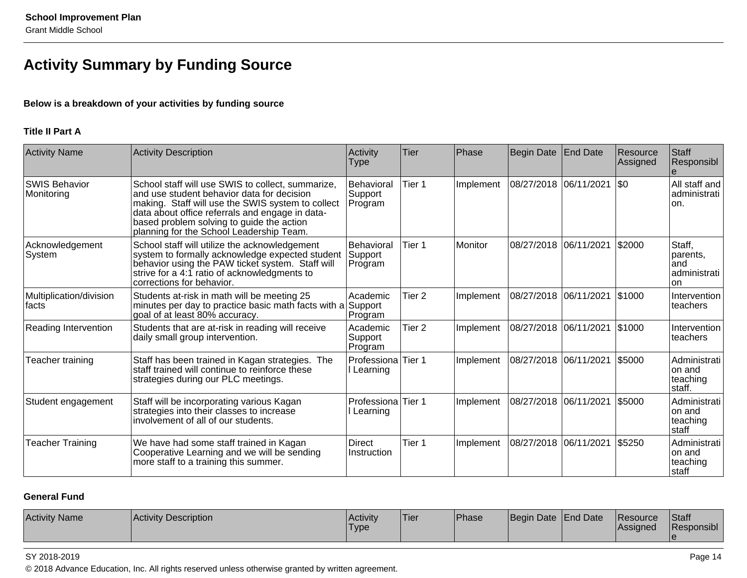## **Activity Summary by Funding Source**

### **Below is a breakdown of your activities by funding source**

### **Title II Part A**

| <b>Activity Name</b>               | Activity Description                                                                                                                                                                                                                                                                             | Activity<br><b>Type</b>                 | <b>Tier</b>       | Phase     | Begin Date            | <b>End Date</b> | Resource<br>Assigned | Staff<br>Responsibl                               |
|------------------------------------|--------------------------------------------------------------------------------------------------------------------------------------------------------------------------------------------------------------------------------------------------------------------------------------------------|-----------------------------------------|-------------------|-----------|-----------------------|-----------------|----------------------|---------------------------------------------------|
| <b>SWIS Behavior</b><br>Monitoring | School staff will use SWIS to collect, summarize,<br>and use student behavior data for decision<br>making. Staff will use the SWIS system to collect<br>data about office referrals and engage in data-<br>based problem solving to guide the action<br>planning for the School Leadership Team. | Behavioral<br>Support<br>Program        | Tier 1            | Implement | 08/27/2018            | 06/11/2021      | $ $ \$0              | All staff and<br>administrati<br>lon.             |
| Acknowledgement<br>System          | School staff will utilize the acknowledgement<br>system to formally acknowledge expected student<br>behavior using the PAW ticket system. Staff will<br>strive for a 4:1 ratio of acknowledgments to<br>corrections for behavior.                                                                | <b>Behavioral</b><br>Support<br>Program | Tier 1            | Monitor   | 08/27/2018 06/11/2021 |                 | \$2000               | Staff,<br>parents,<br>land<br>administrati<br>lon |
| Multiplication/division<br>facts   | Students at-risk in math will be meeting 25<br>minutes per day to practice basic math facts with a<br>goal of at least 80% accuracy.                                                                                                                                                             | Academic<br>Support<br>Program          | Tier <sub>2</sub> | Implement | 08/27/2018            | 06/11/2021      | \$1000               | Intervention<br><b>Iteachers</b>                  |
| Reading Intervention               | Students that are at-risk in reading will receive<br>daily small group intervention.                                                                                                                                                                                                             | Academic<br>Support<br>Program          | Tier <sub>2</sub> | Implement | 08/27/2018 06/11/2021 |                 | \$1000               | Intervention<br>teachers                          |
| Teacher training                   | Staff has been trained in Kagan strategies. The<br>staff trained will continue to reinforce these<br>strategies during our PLC meetings.                                                                                                                                                         | <b>Professiona</b> Tier 1<br>Learning   |                   | Implement | 08/27/2018            | 06/11/2021      | \$5000               | Administrati<br>on and<br>teaching<br>staff.      |
| Student engagement                 | Staff will be incorporating various Kagan<br>strategies into their classes to increase<br>involvement of all of our students.                                                                                                                                                                    | Professiona Tier 1<br>Learning          |                   | Implement | 08/27/2018            | 06/11/2021      | \$5000               | Administrati<br>lon and<br>teaching<br>staff      |
| <b>Teacher Training</b>            | We have had some staff trained in Kagan<br>Cooperative Learning and we will be sending<br>more staff to a training this summer.                                                                                                                                                                  | <b>Direct</b><br>Instruction            | Tier 1            | Implement | 08/27/2018            | 06/11/2021      | \$5250               | Administrati<br>lon and<br>teaching<br>staff      |

### **General Fund**

| <b>Activity Name</b><br><b>Activity Description</b> | <b>Activity</b><br><sup>1</sup> Type | <sup>1</sup> Tier | Phase | <b>Beain</b> | Date End Date | <b>IResource</b><br><b>Assigned</b> | Staff<br>. .<br><b>Responsibl</b> |
|-----------------------------------------------------|--------------------------------------|-------------------|-------|--------------|---------------|-------------------------------------|-----------------------------------|
|-----------------------------------------------------|--------------------------------------|-------------------|-------|--------------|---------------|-------------------------------------|-----------------------------------|

#### SY 2018-2019